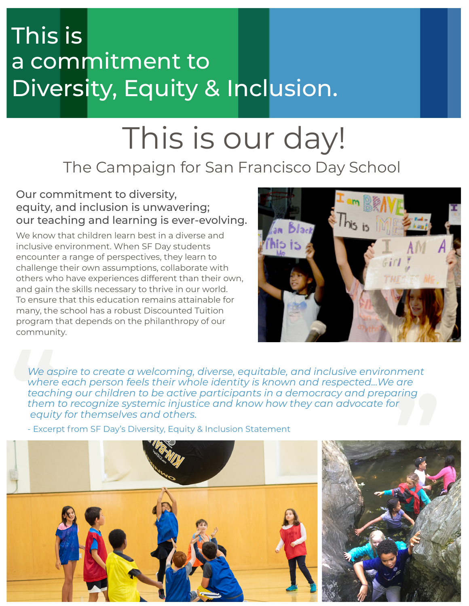## This is a commitment to Diversity, Equity & Inclusion.

# This is our day!

## The Campaign for San Francisco Day School

### Our commitment to diversity, equity, and inclusion is unwavering; our teaching and learning is ever-evolving.

We know that children learn best in a diverse and inclusive environment. When SF Day students encounter a range of perspectives, they learn to challenge their own assumptions, collaborate with others who have experiences different than their own, and gain the skills necessary to thrive in our world. To ensure that this education remains attainable for many, the school has a robust Discounted Tuition program that depends on the philanthropy of our community.



ment<br>are<br>ring<br><sup>r</sup> We as<br>
where<br>
teach<br>
them<br>
equit<u>y</u><br>
- Excer *We aspire to create a welcoming, diverse, equitable, and inclusive environment where each person feels their whole identity is known and respected...We are teaching our children to be active participants in a democracy and preparing them to recognize systemic injustice and know how they can advocate for equity for themselves and others.* 

- Excerpt from SF Day's Diversity, Equity & Inclusion Statement